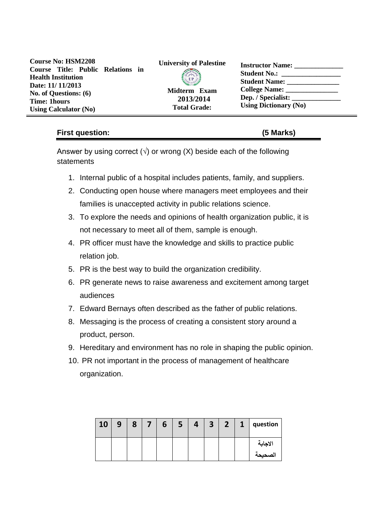| <b>Course No: HSM2208</b>    |  |  |                                   |  |  |  |  |  |  |
|------------------------------|--|--|-----------------------------------|--|--|--|--|--|--|
|                              |  |  | Course Title: Public Relations in |  |  |  |  |  |  |
| <b>Health Institution</b>    |  |  |                                   |  |  |  |  |  |  |
| Date: 11/11/2013             |  |  |                                   |  |  |  |  |  |  |
| No. of Questions: (6)        |  |  |                                   |  |  |  |  |  |  |
| <b>Time: 1hours</b>          |  |  |                                   |  |  |  |  |  |  |
| <b>Using Calculator (No)</b> |  |  |                                   |  |  |  |  |  |  |



**Midterm Exam 2013/2014 Total Grade:**

| <b>Instructor Name:</b>      |  |
|------------------------------|--|
| <b>Student No.:</b>          |  |
| <b>Student Name:</b>         |  |
| College Name: _____          |  |
| Dep. / Specialist:           |  |
| <b>Using Dictionary (No)</b> |  |

# **First question: (5 Marks)**

Answer by using correct ( $\sqrt{ }$ ) or wrong (X) beside each of the following statements

- 1. Internal public of a hospital includes patients, family, and suppliers.
- 2. Conducting open house where managers meet employees and their families is unaccepted activity in public relations science.
- 3. To explore the needs and opinions of health organization public, it is not necessary to meet all of them, sample is enough.
- 4. PR officer must have the knowledge and skills to practice public relation job.
- 5. PR is the best way to build the organization credibility.
- 6. PR generate news to raise awareness and excitement among target audiences
- 7. Edward Bernays often described as the father of public relations.
- 8. Messaging is the process of creating a consistent story around a product, person.
- 9. Hereditary and environment has no role in shaping the public opinion.
- 10. PR not important in the process of management of healthcare organization.

| 10 | 9 | 8 | 6 | 5 <sub>7</sub> |  | $4 \mid 3 \mid 2 \mid 1$ | question |
|----|---|---|---|----------------|--|--------------------------|----------|
|    |   |   |   |                |  |                          | الاجابة  |
|    |   |   |   |                |  |                          | لصحيحه   |